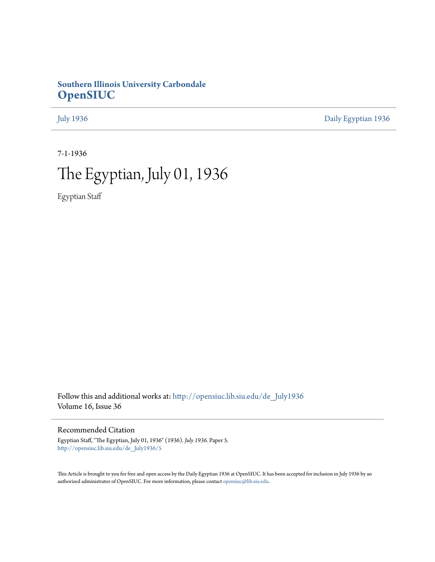# **Southern Illinois University Carbondale [OpenSIUC](http://opensiuc.lib.siu.edu?utm_source=opensiuc.lib.siu.edu%2Fde_July1936%2F5&utm_medium=PDF&utm_campaign=PDFCoverPages)**

[July 1936](http://opensiuc.lib.siu.edu/de_July1936?utm_source=opensiuc.lib.siu.edu%2Fde_July1936%2F5&utm_medium=PDF&utm_campaign=PDFCoverPages) [Daily Egyptian 1936](http://opensiuc.lib.siu.edu/de_1936?utm_source=opensiuc.lib.siu.edu%2Fde_July1936%2F5&utm_medium=PDF&utm_campaign=PDFCoverPages)

7-1-1936

# The Egyptian, July 01, 1936

Egyptian Staff

Follow this and additional works at: [http://opensiuc.lib.siu.edu/de\\_July1936](http://opensiuc.lib.siu.edu/de_July1936?utm_source=opensiuc.lib.siu.edu%2Fde_July1936%2F5&utm_medium=PDF&utm_campaign=PDFCoverPages) Volume 16, Issue 36

# Recommended Citation

Egyptian Staff, "The Egyptian, July 01, 1936" (1936). *July 1936.* Paper 5. [http://opensiuc.lib.siu.edu/de\\_July1936/5](http://opensiuc.lib.siu.edu/de_July1936/5?utm_source=opensiuc.lib.siu.edu%2Fde_July1936%2F5&utm_medium=PDF&utm_campaign=PDFCoverPages)

This Article is brought to you for free and open access by the Daily Egyptian 1936 at OpenSIUC. It has been accepted for inclusion in July 1936 by an authorized administrator of OpenSIUC. For more information, please contact [opensiuc@lib.siu.edu](mailto:opensiuc@lib.siu.edu).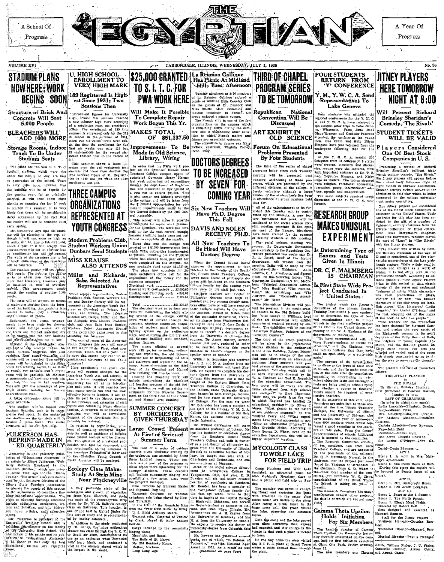

**Sessions Then** 

The plans for the new S. I. T. C. .<br>ootball stadium, which were due about the middle of May, are now possession of the school. There is very little linne however the



Modern Problems Club, Student Workers Union which a part of it will sosay. The which a part of it will sosay. The segment form will not be chychar like Dunbars Send Students

**MISS KRAUSE ALSO ATTENDS** Miller and Richards,

Saba Selected As **Representatives** 

will be concrete.<br>The stadium proper will see the political spin-<br>5600 people. The front of the ediffice<br>5600 people. The front of the edifficient<br>order that temporary leechers and y<br>be installed in 'case' of corriflow<br>pro First example organizations, Modern<br>Problems club, Student Workers Union and Dunkar Society will be represented at the American Youth Constructions. The seats will be reached by menus no search will be readed by means of the inter-<br>enthropy starting from the Inter-<br>r of the building, thus enabling late-<br>measure to bother only a relatively<br>will number of phone. urday, and Sunday. The delegate<br>selected are Evelyn Miller and Mar delegate

**Ecology Class Makes** 

und growth

Undernenth the seats, lan Richards from Modern Problem Chaperment and sease, strategy and the moving of the Stadent charge of the method of the Stadent charge rooms. All of Workers Union. Annematic Krause the transfer of the generality department is also the function of the ge he moved into the new building attending the congress.

by have the move in the line of the congress its congress of the American and particularly in the congress in the animal particular in the congress of the animal congress in the congress of the sphere and except the congr

m will be included in the photogroup control to youth control with the included in the photogroup control of the transfer of the control of the transfer of the control of the control of the control of the control of the c promenade and sprinting track will plan a bette be ready for use in had weather.<br>This will give the advantage of preshort-distance men.

Structure of Brick And<br>Concrete Will Seat<br>5,000 People

**BLEACHERS WILL<br>ADD 1000 MORE** 

Storage Rooms, Indoor<br>Track To Be Under

Stadium Seats

of brick while most of the remainde

arly suitar.

The stadium will be topped with a two lination. A program to a formulated on the land of a state of consults of the state of the state of  $\frac{1}{2}$  is a state of  $\frac{1}{2}$  is a state of the state of the state of  $\frac{1}{2}$  is a state of  $\frac{1}{2}$  is a sta fourteen flagpoles each to be two<br>ty-five feet apart. In the center ine stadium on the top deck will located a press booth. The district of the structure will be .331 feet long.  $\mu$  probably to restated.<br>
I revision to experiment probably probably the set of engaging employed bigden<br>
is in the set of the set of the set of the set of the set of the set of the set of the set of the set of the set

### **FULKERSON HAS REPRINT MADE IN** ED. QUARTERLY

Appearing in the quarterly publi-<br>tion of "Educational Abstracts" is  $\frac{16}{16}$  to the Christian Youth Council<br> $\frac{16}{b}$ . North America will be analyzed. article by Elbert Fulkerson, "Pub-The article discusses mean<br>10 Squihern Division of th Teachers Associatio people of this section usness of conditions limscale<br>allohal oppertunities, The ion areas with the Pinckneyville strip of public<br>by netheroids discussed was made at the Pinckneyville strip discussions<br>and building, publicly setting on Saturday. This feature is a strip rs and bulletins, publicity addres

Fulkerson is principal of the ed by leading botanists. Mr. Fulkerson is principal of the jest by leading notamics.<br>Activative Transport School and is 1 at addition to the study conducted<br>at schilling Hermiter on the factive by Dr. Bulley, the "mine authorities"<br>of the results

est Since 1931: Two Enrollment figures for University<br>High, School this summer reached<br>a new summer high mark according<br>to a tabulation from the president's<br>office, . The corollment of 139 luke<br>summer is surpassed only by the 213

office. The enrollment of 139<br>suggested only the supposed only by the<br>in school in the summer of<br>when two six-weeks terms were also that the time the enrollment for<br>the six weeks was only 125<br>73 registrations for the secon . سومبر<br>100 ີ້າລະ ໄ

This summer, shows a large the<br>crease over the 148 registered isst<br>summer ind nore than doubles the<br>1934 summer figure of 81, Registra-<br>tion in 1933 was 1932<br>enrollment was 193.



re ivermal schools by the syth Gett<br>al Assembly,<br>This money will make it possible This money will make it possible<br>for the biennium, The work planned<br>for the biennium, The work has been<br>held up for the past several months

To Complete Repair Work Begun This Yr.

Improvements To Be<br>Made In Old Science.

Library, Wiring

**MAKES TOTAL** 

because available funds were not su because available funds were not suf-<br>
flectent to complete all the repairs.<br>
Some time use the college was<br>
gravited as 815,000 improvement fund<br>
which WPA authorities supplemented<br>
to to 33.586. Counting out the \$1,298.5

rotal contracts in the distribution of the distribution of the distribution of the state of the state of the state of the state of the college, cutting down waste of current through in

The money allotted to general<br>work will go for re-roofing, refloor-<br>ing and repainting the old Science<br>Building and to fiveproofing the halls

and stairways and repainting the Li brary. Some alterations on the third of the Chemical and Manua Arts Building will also be made, Heating and plumbing work include modernizing the plumbin and heating systems of the old Selence Building as well as setting equipment for the Physics Depar the third floor. ment on of the Che cal and Manual Arts Building

**SUMMER CONCERT** BY ORCHESTRA **GIVEN THURSDAY** 

Large Crowd Present At First of Series of Summer Term

**Study At Strip Mine** Near Pinckneyville very profitable study of the

singing were:<br>Moonlight and Roses.<br>The Bells of St. Marys.

My Old Kentucky Ho<br>Mother, Machree, Long Long Ago.

Tuesday afternoon at 3:30 members of La Reimion Galilens encoded a photo calculation of the second as the second as finith  $\alpha$  After swimmling and Miss Smith. After swimmling and Miss Smith. After swimmling and phaying m Will Make It Possible

Miss Smith. Atter swimming and playing monopoly in Prenefic the group suppose appear on the law of the Prenefic the prenetic organizations on the campus which is remaining petty during the summaring performance and it is b OF \$51,337.50

DOCTORS DEGREES TO BE INCREASED BY SEVEN FOR **COMING YEAR** 

Six New Teachers Will Have Ph.D. Degree

**DAVIS AND NOLEN** RECEIVE PH.D.

### All New Teachers To Be Hired Will Have Doctors Degree

When the Normal School Boat approves the appointment of four<br>teachers to the faculty of the South The plans now complete in the bachers to the faculty of the South-<br>rest architecture of the condition and for the second intervent intervent conditions state. The plans is expected at the second of the poster of the second

experience of the properties are the left in the control of philosophy de-<br>Collective of the system of the Southern Control of the Southern (Collective Section 1992).<br>Control of the control of the control of the control of

versity in June and J. Cary Davis o nel board and the foreign language department ex-<br>the auditorium peets to receive his doctor's degree is<br>die Library and from the University of Chicago blis<br>with standard, summer. Dr. Agnes Murphy, German

in orde teacher last year, resigned general) to be married, leaving this year increase in doctor's degrees on the Science faculty seven in number

William B. Schneider who received<br>as A. B. and M. A. degrees from the ds A. B. and M. A. degrees from the<br>Intversity of Illinois will teach Engsh. He expects to complete his doc-<br>or's degree from the University of Chicago this summer. For a time he taught at the Eastern Illfnois State Teachers College at Charleston, at the Indiana State University Exten tion branch in East Chicago Indiana .u. Litumus<br>Tinivarsit and for two years in the University<br>of Chicago. For the past six yea  $\frac{m_{\rm m}}{M}$ Mr. Schneider has ha m... Scunencer nas been a member of<br>the staff of the Chicago Y. M. C. A<br>College. He is a member of Phi Bets<br>Kappa, the national honovary scho-<br>lastic fraternity. Dr. Willard Gersbacher

WH serv assistant professor of botany. He from the Southern Illinois Str<br>Teachers College and both is mast

of arts and doctor of philas 

The first of a sesies of cutokov is the associated the cutokov is a sesied of the cutokov is the cutokov in the cutokov is the cutokov in the cutokov is the cutokov in the cutokov is the cutokov in the cutokov is the meas philosophy degree from Columbia th summer

ummer<br>Mr. Bowden has published severa<br>The same of which, "In Defense of ir, Bowden aas published several<br>Ma, one of which, "In Defense of<br>norrow," won'the National Agar<br>and in 1931, As a result he was<br>(Continued on page four)

# TO BE TOMORROW Representatives To Lake Geneva Republican

epublican National<br>Convention Will Be Discussed

**ART EXHIBIT IN OLD SCIENCE** 

Forum On Educational **Problems Presented** By Four Students

The third of the series of chapel erograms being given each Tuesday 

All of the entertainment to be - All of the entertainment to be further<br>national particular that the contributed by the actuators,<br> $A$  are further than the contributed and the contributed as the contributed as the contribution<br>is sion meeting, convenes The social science meeting will

Present the Democratic Convention and a secretary to the Reynblican Convention and the matrices of the Library Branch Convention and the property of the Library of the Library of the Library of the Library of the Library o DR. C. F. MALMBERG The Humanities Division will we

me rangears in the newly-sereof liss Glanys<br>nrt department w les art department will exhibit<br>The exhibition will be entitled<br>The exhibition will be entitled<br>rican Regional Painters of the 

The third of the group program<br>will be given by the Profession<br>Studies division in the auditoria Studies division In the Allyn Building, Robert Difflule of the situation<br>and will be in charge of the stu-<br>problems. Four studients will be<br>problems. Four studients will problems and the studient<br>density and the studients of the studients in the Allyn Building, Pobort  $D(n+1)$ "How may we profit from the way in which England and the educational problem?" by<br>Muser, "What should be to<br>of our suidance program?"<br>"  $O(1)$ the nature hy Airs Winifred Perry, and "What nents have proved successful in ments nave proves successomers<br>viding an educational program<br>Miss Oradelle Molan, Accord<br>Dean George D. Wham, head Miss Gravene Molan, Accords.

### MYCOLOGY CLASS **TO WOLF LÁKE** FOR FIELD TRIP

Camp Hutchens and Wolf Lake Camp Huenens and Wolf L<br>furnished an attractive place<br>Miss Goddard's Mycology class<br>hold a picnic and field trip on S

day,<br>day,<br>The morning was spent in collect-<br>ing Tungl and exploring the camp camp<br>plant with attention to the many forms which are native to the plac After eating a picnic lunch in the large mess hall, the group visited the lake, observing the botanical forms.

Both the camp and the lake proveeven more attractive than anyone

a compare attention than any one of the Library and the compared and the college is forely the plane of Gamma Technical Director-Maynard Sentember 2011 and the state a place is located The Library fractor of Gamma Technica

# Will Present Richard<br>Brinsley Sheridan's<br>Comedy, 'The Rivals' Four students who attended the Four statutes who attended the experiment of the P. M. C. A. and Y. W. C. A. have returned to the campus atter the four Lake Gone- ya, Wiscombin. From June 13-13 was the Company and Godwin Teterator of property and Conditi **STUDENT TICKETS** Players Considered<br>One Of Best Stock Companies in U.S.

men.<br>
At the Y. M. C. A. session 22<br>
delegates from 63 colleges in 9 states<br>
were present. Research and discus-<br>
sion groups were the fectures, with<br>
such important speakers as Dr. T. 2<br>
Such important speakers as Dr. T. 2 Presenting a revival of Richard Brinsley Sheridan's brillistat eightent<br>reaction of Brinsley conceal, "The Rivats", the filtery players will appear be<br>fore the stitute players will appear before the stitute of the stitute<br> such important speakers as Dr. Koo, Toyehiko Kagawa, and leaders. The topics air<br>Eage as teaders. The topics air<br>were religion, vocational counter-<br>reversion, peace, international<br>recreation, peace, international<br>tions, mo

The same subjects received much discussion at the Y. W. C. A. con erence,



Is Determining Type of<br>Exams and Tests<br>Given In Illinois

### IS CHAIRMAN ls First State Wide Project Conducted In United States

shether old or new. mactuar on or new. The famous<br>characters of the play tropp set forth<br>Bob Acres, 'Nirs, Malaprop,' 'Lydia<br>Lenguish,' 'Sir Lucius O'Trigger' and The project which the Research Committee of the lilinois Teacher<br>Training Institutions is now conducting to determine the type of tests Lenguelas. Sir Lucius O'Trigger and the post of the post of the post of the post of the book as real. New people. The sense of the production as sense designed by Mayazard Sample and evolves the very split of the Eighteen examinations and canninations used in linear states and the schedule species of the kind in the United States, recovering to Dr. W. A. Thalman of the construction of Party and the spectrum of the wave communicated with of Party and St

mass and when<br>set of the interestigation of the interestigation<br> $\mathcal{F}$  he purpose of the types of tests used<br>is to discover the types of tests used<br>in indical, and then to make practically in determining to whet<br>set obj tests are being used in achools toda ments should be required of pro-

pective teachers. In the gathering of this data In the gathering of this dia, one-<br>identical diameter and the diameter of the first diameter are as<br>builded to those still considered in the Ultimatic Tenders' of Chineses<br>the Ultimatic process of the Ultimatic property a

by the presidents of the colleges

chairman. For the project just men tioned Dr. Thaiman of Carbondale is the chairman. Dean G. D. Wham mittee, but Professor inities, but Professor W. G. Cisas.<br>superintendent of the Brush Training School, is taking his place a

The Research Committee has unde consideration several other projects Gamma Theta Upsilon

Holds Initiation For Six Members

time simply constructed so as to alow the play to move rapidly through ouř The program and cast of characters follow THE JITNEY PLAYERS

WILL BE VALID

ent series committee.

with the Juday players.<br>
"The Rivals" was written by Rich<br>
and Brinsley Shoridan at the age of<br>
23 and is considered one of the play-<br>
writing masterpleces of the late eight<br>
denth century. While widely read it

schools und colleges as a work of

professional theatre. According to ad

ance publicity, "The Jitney Player bring to this revival of that classi

comedy all the verve and exuberant

 $The$ 

freshness of acting which character

their productions

The Transformation of the Transformation of the Picker<br>Transformation of the Care of the Care of the Care of the Care of the Care of the Care of the Care of the Care of the Transformation<br>In the Care of the Care of the Car

arrison.<br>Captain Absolute—Jerry Bowman. Faz-John Neill.

Faulkland-Homer Hull. Bob Acres-Douglas Rowland.<br>Sir Lucius O'Trigger-John Ma-

nay.<br>David—Denis Plimmer, ...

ACT I.<br>ACT I.<br>Grene 1. A room in Mrs. Mala on's Apartments.<br>Scene 2. The Pump Room at Bath,<br>(During this scene the curtain will<br>e lowered to denote lapse of six

ours). ours).<br>
ACT II.<br>
Scene 1. Mrs. Malaprop's Room.<br>
Scene 2. Bob Acres' Lodgings. ACT III.

Scene 1. Same as Act 1. Scene 1.

Scene L same as Act 1, Scene R.<br>Scene 2. The North Parade.<br>Scene 3. King's Mead Fields.<br>Directed by Robert Bell.<br>Sets designed and executed by<br>Kaynard Samsen.

Staff for the Jitney Playe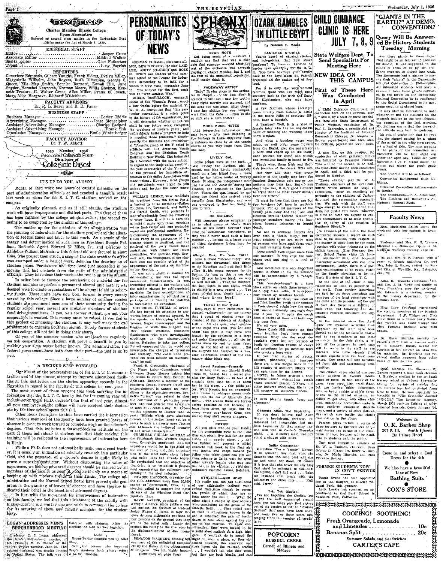|                  | <b>tectary develop</b>                                                                                                 |              |
|------------------|------------------------------------------------------------------------------------------------------------------------|--------------|
|                  | Charter Member Illinois College                                                                                        |              |
|                  | Press Association<br>Entered as second class matter in the Carbondale Post<br>. Office under the Act of March 3, 1879. |              |
| Editor           | EDITORIAL STAFF                                                                                                        |              |
| Associate Editor | Jasper Cross!                                                                                                          | N            |
| $T$ ypist        | www.iLucy Parrish<br>-----------                                                                                       | LEN<br>T.F.R |

REPORTERS<br>Genevieve Edmonds, Gilbert Vaught, Frank Elders, Evelyn Miller, Genevieve sommons, subert vaught, Frank Eiders, Evelyn Müler, Naturel, Marguerite Wilhelm, John Rogers, Ruth Ditterline, George S. Shyden, Tella May Smith, -Bernice Barnard, Lowell 'Hill, June Represent, Herschel Newcomb, **FACULTY ADVISORS** 

### Dr. R. L. Beyer and R. D. Faner **BUSINESS STAFF**

Business Manager . . . . . . . . . . . . . . . . . . . . ..Lester Riddle 

|    | FACULTY ADVISOR<br>Dr. T. W. Abbott                                                            |  |
|----|------------------------------------------------------------------------------------------------|--|
| ٠. | 1935 Member, 1936<br><b>Associated Collegiate Press</b><br>Distributor of<br>Collegiate Digest |  |
|    |                                                                                                |  |

### IT'S UP TO YOU, ALUMNI

Month of liard work and hours of careful planning on the part of administration officials at last reached a tangible result<br>last week as plans for the S. I. T. C. stadium arrived on the campus.

As originally planned, and as it still stands, the stadium work will have two-separate and distinct parts. The first of these has been fulfilled by the college administration, the second remains to be completed by the alumni of this college.

The matter up for the attention of the administration was the securing of federal aid for the stadium project and the allocation of federal funds and labor to this work. As a result of the energy and determination of such men as President Roscoe Pulliam, Business Agent Edward V. Miles, Jr., and Director of Athletics William McAndrew this federal aid was secured in short time. The project then struck a snag as the state architect's office was swamped under a load of work, delaying the drawing up of stadium plans. Persistance and time have just succeeded in removing this last obstacle from the path of the administrative officials. They have done their work—the rest is up to the afunni.

In order best to finance the purchasing of material for the stadium and also to perfect a permanent alumni unit here, it was deemed wise to create organizations of the alumni to aid in soliciting funds. These units have now been formed in every county served by this college. Since a large number of summer session stated by this conege, pitch a hage number of summer session regular school year, several are probably members of stadium<br>fund drive/committees. If you, as a former student, are not your cooperation is wanted. This money must be raised. If you fail in this project of financing the stadium, it may well mark the end of attempts to organize Southern aiumni. Surely former students

for attempts to organize solution attention. Surely former students<br>of this college will not fail in doing their share,<br>of the summer session who are (leachers regularly,<br>we ask cooperation. A stadium will prove a benefit making your alma mater better known. The administration, the federal government have both done their part—the rest is up to you.

### ۵Ĵ.

### A DECIDED STEP FORWARD

Significant of the progressiveness of the S. I. T. C. administration and of the sincere attempt to improve educational facilities at this institution are the stories appearing recently in the<br>Egyptian in regard to the faculty of this college for next year. The most recent of these appears this week carrying the information that the S. I. T. C. faculty list for the coming year will

include seven more Ph.D. degrees than that of last year, Almost meands sover upper a next respect that or last year, Almost<br>all new employers of the college will have received their doctor-<br>at the time school opens this fall.<br>Other items from time to time have carried the information

that various members of the faculty have been granted leaves of absence in order to work toward or complete work on their doctor's degrees. That this indicates a forward-looking attitude on the part of these individuals is obvious and that their seeking this training will be reflected in the improvement of instruction here is likely.

While a Ph.D. does not automatically make one a good teachr Annua a numero con a communication of scholarly research in a particular field, and the possessor of a doctor's degree is quite likely to field, and the possessor of a doctor's degree is quite likely to prove a superiorf experience, we pelleve jextuated there is shown be seen<br>real by an members of the factulty as soop of some in the seeing of the<br>interval behavior in the seeing some state and the Normal School Board have proved quite gene dicated their belief in the benefits of advanced degrees.

In line with the movement for improvement of instruction on this faculty, we feel that this curichment of the faculty with higher degrees is a worthy one and wish to commend the college for its securing of these new faculty members for the student body.





sour North and the must be a source of the must be contained and the model and the model and the present of the orchestra was through playing in chapt of the unnustral contained and the material playing in chapt of the unn NMAN THOMAS, OBVERBALLEWIS COREY, HARRY LAID-SCOTT MEARING and ROSE , LEWIS STEIN are leaders of the sumschool of the League for Indusmer school of the Jeapse or Industrial Denomin in New York, beginning Jum<br>19. The analysis of the basic space of the second in New York, beginning Jum<br>19. The author of the New York American Wall be War Amazing Langton of could surely think it. 

W. C. A. convention that "this part-<br>interval in the set of the contraction of the contraction, for<br>it will determine whether or not we conclude that the scalar shall in our future work recognize<br>shall in our future work affiliate with the American Youth Building a New World. The Industria

Bullding a New World, The Industrial<br>Girls collowed with the same action):<br>Girls followed with the same action):<br>In regrad to the trade nulon question,<br>the paid accretaries of the Y reject-<br>ad the proposal for immediate at

in the UKIMIKIS, new candidate in Witherlands (to president from the Urino Party, Couplin, Dr. Townsend, and Reference of the production of the property of the production of the property of the production of the property o aent.<br>AVILLIAM LEMKE, new candidate

Wee:

floreine

## 606 MAILBOX

THE EGYPTIAN.

FADEAWAY ARTIST

MORE MUSIC NOTES

Add interesting information: One<br>may have a jolly time listening to<br>the buifrozs in Lake Ridgeway from

 $\Delta_{\rm{eff}}$ 

cos MAILBOX<br>
incoreas to what group of Moris Star-<br>
as to what group of Moris Star-<br>
reside at 686 South Normal? They<br>
mute. be well-known somewhere, or<br>
mute. be well-known somewhere, or<br>
they would never need such a huge

Allright, Dick, 12's Your Taraf John Richard "Second Story" With tenbora has threatened dire things to the Egyptian staff and their little

to the Egyptian staff and their Bitter<br>of the state of the state of the state state state is so that is our<br>distinguishing the state of the state of the state of the state of<br>the state of the state of the state of the sta

This capacity is not be able to the state of the state of the state of the the that it is peak of price of the the that it is peak of priced away the shall be the state of the residents of Anly<br>by the Hall . All was real t gray automobile, instead of the cus

Steert Paasions—Formerly<br>
I accret Passions—Formerly<br>
If the two chat our Harold Budde<br>
I the two chat the same as a secret passion for Betty Vick.<br>
... Un fact is label shown in the same as the passion of the same<br>
lay, France A. Crosswatte, cuarrunte a Negro Labor committee, wired<br>dovernor Henry Homer asking him<br>to veluso to return Sam Bennett to<br>Arkansas. Bennett, a member of the<br>Southern Tenant Farmers Union and Southern Tennant Farmers This<br>note of the first control and the control of the plantation over space of<br>the control of a mixture of a mixture of a mixture of the control of<br>the control of the plantation of a mixture of th cotton chopper, is wanted for extra **NOTICE** 

NOTICE<br>All you girls who do your fishing<br>for the susceptible male at the Lone<br>Star can obtain live bait for the poor

 $10<sup>2</sup>$ It's really too, too had that some<br>of our athletically inclined youth<br>cannot find time enough to pursue

Why, the were 'gamboling on the green of the<br>abilietic field . . . Time voltad past,<br>as time is sometimes known to do,<br>and it hehooved the pair of turtic-**EXECUTE AND ADDRESSES MEN'S** [instrated with pictures. After the four persons on the ground that they down to seek alsep against the rise.<br> **EXECUTE AND ADDRESSES MEN'S** [instrated with pictures. After the four persons o



BANISHEE STORIES<br>You've heard of ghosts, witches,<br>and hehereblins. But how about<br>hanshees? To have a hanshee is<br>harder than qualifying for the D.Y. Send Specialists For **Meeting Here** der tass numerouse<br>You have to trace your family<br>The the days when St. Patrick NEW IDEA ON back to the days when St. Patric

THIS CAMPUS First of These Here<br>Was Conducted

land. For it is only the very ancient<br>framilies, those who can trace their<br>incestry back to the Irish and Scot-<br>tish Highlanders, who may have ...<br>banshees.

Sames and the space in the space of the content of the space of the space of the space in the canonical to settle conducted here on the campus, July in the Content in the Content in the Content in the Content in the State

Their what these Irish and Soot This will be the second to be helis.<br>
This will be the chark Hills any. the first edition having been conducted<br>
Dust they add this "rect every in April, and a third will be con-<br>
member of

persons may hear her. But all, you The<br>finance of the local counterpart of the set of the conditional of the<br>density of the set of the set of the set of the set of the set of the<br>conditions, "offer an excellent optimal pe

Some stories even report more than one banshee. In this case the ban-<br>shees wall and sing in a kind of **chome** 

This "coach-a-bower" is a huge At the time of the S.I.T.C.<br>
I Marie Hindels of the Dir. C. and by the state of the state of the state of the state of the state of the state is presented to the a state of the state of the

and the special to the special theorem. The example that is the special to the special to the special to the special term of the special term is the smaller than the special term of the special term is the smaller than th

Obdurate Allan, The Unyielding<br>If you don't believe that Allan<br>Sager is headstrong, forverse, on-<br>indonated and immovable, just ask<br>Sara Logue—or for that matter any-<br>Sara Logue—or for that matter anyshare is reactively<br>as performs, on- $\left\{ \begin{array}{l} \log \left( \frac{1}{2} \right) \right\}$  and  $\left\{ \begin{array}{l} \log \left( \frac{1}{2} \right) \right\}$  and  $\left\{ \begin{array}{l} \log \left( \frac{1}{2} \right) \right\}$  and  $\left\{ \begin{array}{l} \log \left( \frac{1}{2} \right) \right\}$  and  $\left\{ \begin{array}{l} \log \left( \frac{1}{2} \right) \right\}$  and

France Constant Constant Constant Constant Constant Constant Constant Constant Constant Constant Constant Constant Constant Constant Constant Constant Constant Constant Constant Constant Constant Constant Constant Constant Florence Denney

Tsk. Tsk. Obelisk!

Isk, Tsk, Obelisk!<br>I'm not knocking the Obelisk, but<br>if you are well account there, you can easily pick that picture<br>out of the section called the "Foature" out or the section called the "Foature of Section" that must have been suge. The section of the section of the section of the section of the section of the section of the number of "grads"  $\sum_{k=1}^{\infty}$ in it. POPCORN? **ABSCOT RUSSELL GREER** Corner of Illinois and<br>Monroe

"GIANTS IN THE<br>EARTH?" AT DEMO. CONVENTION?

Wednesday, July 1, 1936

# Query Will Be Answered By History Students<br>Tuesday Morning

**JULY 7, 8, 9** 

In April

The state of the spin of the spin of the spin of the spin of the spin of the spin of the spin of the spin of the spin of the spin of the spin of the spin of the spin of the spin of the spin of the spin of the spin of the s chance to hear these glants discuss-

clause to hear these gladed distorted<br>of the Benecester of the Benecester Notional Convention to be condited<br>ally the Social Dopertment in 18 used<br>space and proposed in the set of the set of the set of<br>the set of the set ing, campaign of the last meeting.<br>Mr. Pulliam warus that the ton-criti-

Senata Larry who has an uppless<br>anti-mail L. Schroeder, a psychlatrist and  $\begin{bmatrix} 1 & 0 & 0 \\ 0 & 1 & 0 \end{bmatrix}$  and the contribute of the main<br>term of the main of the main of the main of the main of the main of the main of the

anducting of child guidance clinics<br>was initiated by President Pulliam.<br>This will be the second to be held. stump out where the green grass The program will be as follows:

> Convention Background-Ottis Me .<br>Mahon.

Principal Convention Address<br>ta Renfro.

a Renfro.<br>- The nominations—C. A. Artastrong.<br>- The Platform and Roescrelt's Acceptance—Samuel Evett.



### Miss Madeleine Smith spent the ston.

Professor and Mrs. F. G. Warren attended the Municipal Opera in 5<br>Louis on Tuesday evening, Jitne 23.

Dr. and Mrs. T. F. Barton, with a party of friends, including Dr. and<br>Mrs. John R. Mayor, visited the Burof friends including the and ons, none it, stayor, vistica the bar-<br>ind City, at Wycliffe, Ry., Saturday,

Allan R. Edwards entertained Mr. and Mrs. J. M. Webb and family of West Frankfort over the week-end Mr. Edwards is a visiting member of the history department for the summarization of the summarization.

Miss Mary Crawford entertained one relating members of the English<br>department. H.P. Widger and Miss<br>Alte Grant at a dinner party Saturation (Separtment). H.P. Widger and Miss Miss Frances Barbour were also guests.

Dr. Marie Hinrichs recently received a letter from a research work-<br>reprints of her states and state for the reprints of her articles on all<br>requiring for the relation of the relation of the radiation. In<br>relation on the r

Quite recently, Dr. Sherman W.<br>Rames received a leter from Herman H. Hinkle, a student in the graduate<br>Hinary school at Chicago University Sherman at the studies of a<br>relicing for reprints of a relicing that the line of th time to time. He was expecially interested in "The Scientific Monthly, March 1934 and the Editing of Early Learned Journals, Osiris January '26

Welcome To O. K. Barber Shop 207 S. Ill. South Illinois<br>By Prince Hotel The local committee consists of George D. Wham, Dr. Brace W. Come in and select a Cool win, Dr. Marie Hiprichs, and Miss Dress for the 4th  $\bullet$ FORMER STUDENTS NOW IN GOVT SERVICE We also have a beautiful Line of New Evans has been appointed **Bathing Suits** one of the Rangers at Giacler Na-<br>tional Park, this summer. Alle Care, this summer.<br>
Leila Lockie has received an appointment to the Park School in COX'S STORE **PROFECTIVE DIGENORATION OF BIOGRAPH BIOGRAPH BIOGRAPH** COOLING! SOOTHING! Fresh Orangeade, Lemonade and Limeades \_ . . . . . . . . . . . . . . . . 10c Summer Salads and Sandwiches **CARTER'S CAFE** Bisanske menske konskerte konskerte

ATHLETES-AND HOW

gaining in the istella inductry.<br>
The interaction organization for the CIO. addressed more than 10.000<br>
propose at Protremouth, Ohio, at a stellar include include the Wheeling Stell Correlation<br>
of the Wheeling Stellar Co cannot rind, time emotion they are the games of which they are sold and the sun ... Why, the other night a couple of sports-lover

form and the nonsible effect of the formula deflected of the appearance of the binder of the formula of the state of the constraints. The main of the state of the state of the state of the state of the main of the state of Thieves In Our Midst! the murder or klumpping of Frank .<br>is, Negro sharecropper, and the<br>ng of Wille Sue Blagden and floging of Wille, Suo Blagden nel Regional (Continuent who were investigating Southerners who were investigating to the angle of Pattern Continuent Pattern Pattern Pattern Pattern Pattern Patterners of terminant patterners tomary shiny black one. Secret Passions-Formerly

ones window.<br>
and when a banelice weens one<br>
might as well order some flowers<br>
from the finish, give the understated<br>  $\pi$  and check up on the inauty-<br>
and check up on the inauty-<br>
and collets for each collet the hand Soci the buirrogs in Lake suggestly from<br>a distance as close by as the tennis<br>courts as you may learn from Glen<br>and Kay. LIVELY GAL ment of the luck.<br>Last Friday the liveliest girl in<br>school, one Mae Lively accidentally school, one mae Lively accidentally<br>stood up a boy friend from a town<br>hard by her native center of Turkey<br>Knob. Finding the independent male

had arrived and departed during her<br>absence, she repaired to the Louis<br>Sim. There she was located by ap-<br>other- hoy friend who arrived uner-<br>pectally from Christopher, and who<br>was overloyed to find her being so<br>true to him

logether with other just<br>generate by the procedure procedure (chiral states in the low of Niss<br>Consection (for additional data, and becomes<br>the linear data, and becomes environment lastigy, there is a play-<br>state with the And sometimes if a very important<br>person is about to die the Eaushee<br>will be accompanied by a "coach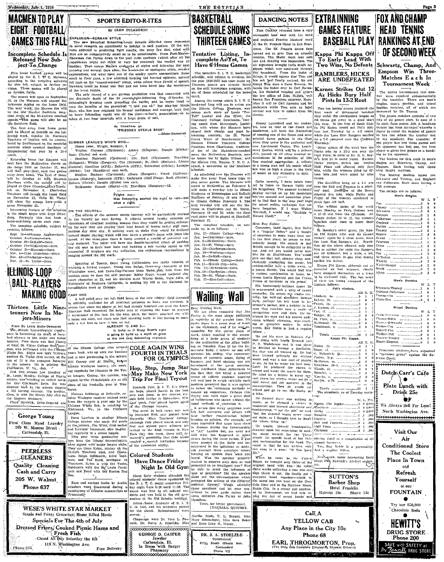Wednesday, July 1, 1936



# $\text{EXPLOS}$ ION-GERMAN STYLE<br>
The new Metorical Channeling-Louis debacts afforded those interested<br>
The new Metorical Channeling-Louis debacts and practime. Of the mil-<br>
idense all particles that the prediction of the mil-<br>
i Incomplete Schedule Is<br>Released Now Subiect To Change

rive notes tookent, games will be<br>played by the S. L TP C, Marconis,<br>according to the tourative schedule<br>for this fall, subject to further resubject to further re $r_{\text{three}}$ 

tic Southern field.

the Southern Bed.<br>
The first away from home game will be played at DeKalb on the following<br>
read at DeKalb on the following<br>
property of DeKalb will be remon-<br>
Teachers of DeKalb will be remon-<br>
berel by Southernors at the count.

ers on November 4. Charleston Teach<br>
on November 4. Charleston Teachters will invade the bomb field<br>
on November 13, while St. Via<br>
will close the season here with a game November 21.

The complete schedule, subject to revision. follows:

Nov. 6-Cape Girardeau-<br>Nov. 13-Charleston-here.<br>Nov. 21-St. Viator-here.

**BALL PLAYERS MAKING GOOD** 

# jors-Minors

rom St. Louis Giobe-Democrat the Illinois Intercollegiate Confer<br>ence is furnishing its share of base man, who performed with the Checago of the lillinois College units and the sected and the section of the property and the matter of the matter of the property of the property of the sected of the property of the property

George Young st Class Hand Laundry<br>200 W. Monroe Street<br>Carbondale, Ill.

PEERLESS **ELEANERS** Quality Cleaning Cash and Carry 205 W. Walnut Phone 637

.<br>Phòne-345

Shownan Jim Farley down to the pool room converse (which are all the<br>symphonizes might not think is o very far removed) the verified was all<br>luminosity are necessary and following the rest of the method in method<br>s. Then Five home football games will be Nowhere could be found one that had not been lured into the maelstre of the levest bubble.

on foreign, fields.<br>
The formula conservative of the brust bubble.<br>
The formula conservative of the Severe dependence was that connected with<br>
The formula conservative of the Severe dependence of the Severe dependence of

**SUMMER LEAGUE'S WHO'S WHO-**

SUMMER LEAGUE'S WHO'S WHO  $\mathbf{N} = \mathbf{N}$  (Rengers); Naugle (Hicks) Irone runs: Wright, Rangers); Allors (Rengers); Naugle (Hicks) in Triples: Cravens (Clyclones);  $\sum_{i=1}^{N}$  (Rengers); When the condition (Dyclones);  $\$ coupl. The book of the Machine of the Machine of the first first first first fine of the long-<br>first first first first first will then provide the state of the state<br>will then play-their rank two games will be obtober 24 w

same Novomber 21.<br>Interesting feature of the schedules in single game with Cape Giran-<br>is the single game with Cape Giran-<br>leau. Formerly this has been a<br>home-and-home series cach year. ON THE COURTS—THE COURTS (The statement (entitle formula the properties in the off-state is the off-state in the Variety of the formula of the coupler in the coupler property of coupler properties and the coupler of the c ON THE COURTS-

evision, follows;<br>
Sept. 26-Arkansas Aggies-here,<br>
Cetober 3-Normal-here,<br>
October 3-Normal-here,<br>
October 19-DeKalb-dhere,<br>
October 24-Makeonde-here,<br>
Nov. 6-Cape Girardeau-here,<br>
Nov. 17-Charlot on share.

**IELINOIS-LOOP** 

# Thirteen Little Nineteeners Now In Ma-

**F.ASY ONE CONSECT AND CONSECT AND ALL AND CONSECT AND A CONSECT AND A CONSECT AND A CONSECT AND A CONSECT AND A CONSECT AND A CONSECT AND A CONSECT AND CONSECT AND CONSECT AND CONSECT AND CONSECT AND CONSECT AND CONSECT** ALITEAUT IS AND 2-<br>It looks as if Dizzy Dean's right<br>is going to build up a myth as great<br>as the one that Schmeling exploded. In the present of the main of the change of the littlens college unit strengtheness is the one that Schmeling exploded.<br>Increase, Pirst there was Bud Charley<br>of Odel, St. Valor College first there are built of the littlens years back, was up with the Yankees

preolleciate meet at Chicago.

**SPORTS EDITO-R-ITES** 

By GLEN FULKERSON

Polaive me-

species. As the state will have the double-barrelied effect of pushing his old near to their best form and building a sub variety squad to fill have the double-barrelied. It numbers are any indication, the enthusiasm therm

Speaking of Tennis, these young Californians are really wizards at

Speaking of Tennis, there young Californiaus are really visited in<br>a violating a wicked recent Tours Dan Badge, three-way then<br>upin of the Winniagon meet, and Davis-Cup-Partner Gete stake, joint hale from the<br>sunkists stat

As Headlines go<br>
"PRISONER STEALS BASE"<br>
-Globe-Democrat

Max Schmeling aserted his right to rule-and<br>what a right.

other Wesleyan receiver midded away<br>from the campils a year ago by the<br>Chicago White Sox, is catching for<br>Richmond, Va., in the Piedmont

have signed with major league clubs.<br>They are Gene Kylen, picker on the DeKah, Teachers - nine, and Goena-<br>tame. Raph Goldsmith, third have<br>man, and Ted Read, southpaw, of<br>Nesslyan, Kylen is with the Yundai Goldsmith With

Rare and aucient books by Arabic scholars were discovered durlug a<br>cataloguing of Ortental manuscripts at Princetori?

WESE'S WHITE STAR MARKET

Staple and Fancy Grocerics; Home Killed Meats

Specials For The 4th of July

Dressed Friers/ Cooked Pienic Hams and

Fresh Fish

. 119 N. Washington Ave.

Closed All Day Saturday the 4th



**Colored Students** Have Dance Friday

"⊤

Free Delivery

dents and was near an the old gram-<br>nation in the Old Science building.<br>Edma Snow, graduate of S. I. T.<br>C. in 1935, and his prelestra played<br>for the dance. Refreshments were



Night In Old Gym About forty students attended the colored stidents' dance a spinsored by the S. 1. T. C. social committee Friday night from 8:30 multi 11:20. The data was held in the old gym-

Š DR. J. A. STOELZLE-211% South Illinois Ave



THE EGYPTIAN

# Tentative Listing, In-<br>complete As Yet, To Have 6 Home Games

The tentative S. I. T. C. basketbail these specified the function of the pear 1235-1357 has been made up, bus ork had finally arrived. So our Tuirteen games are already listed friend Tom deus a Gene Tuirteen games are alr The tentative S. I. T. C. basketball

Among the teams which S. I. T. C. Among the teams when a strip a team are hardwood fang will see in a cition are<br>the Illinois Collope Blneboys, now minus such ratars as Louis "Too-<br>Tall" Lastier and Jim Winn; the<br>Contenary College Gentlemen, tour-

(bit interests and Jones Context (exceed the set of the set of the set of the set of the set of the set of the set of the set of the set of the set of the set of the set of the set of the set of the set of the set of the

.<br>Pebruary 19 and 20, while the final<br>road game will be played at Shurtleff,

February 27. The complete schedule, as not<br>ande up, is as follows.

- 
- 
- 
- 
- 
- 
- 
- 



Solution 2 is all the final tensor and the statistics the statistics of the statistics of the statistics of the statistics of the statistics of the statistics of the statistics of the statistics of the statistics of the

Let be be the castomary includes be reformed the case of the best and the state of the state of the state of the state of the state of the state of the state of the state of the state of the state of the function of the s



erved. The Marcha Scott, T. L. Bryant, Miss

Carbondale



Chann

Schwartz Etapson Fulkerson



**Call A** 

YELLOW CAB

Any Place in the City 10c

Phone 68

EARL, THROGMORTON, Prop.<br>(The Only Cab Company Employing Student Drivers)

**Executive Contract Contract** 



England<br>Mathis **Tenney** Vhitily Winterherzer

Cross-Rea Mixed Doubles Manap-Roles .............1<br>Ioover-Schwartz ............. Surves-Cox Harrett-Cax .<br>Valker-Hill **Femey-Tenney** Moore-Empson Princeton students have organized<br>"pressure group" against the Sureme Court.

South <sub>--</sub> Aiken

**Schwartz-Tenney** 

\*\*\*\*\*\*\*\*\*\*\*\*\*\*\*\*\*\* Dutch Carr's Cafe  $\bullet$ 

 $\cdots$ 

Page 3

**FOX AND CHAMP** 

**RANKINGS AT END** 

OF SECOND WEEK

**Tournament Week** 

Men's Singles

-----------------<br>----------------

-------------------

Men's Doubles

---------1

Plate Lunch with Drink 25c 合义

We Always Sell For Less! North Washington Ave.



The Coolest Place In Town and

> Refresh Yourself at our

**FOUNTAIN** ٠

Chocolate Soda

Try our \$50,000 **HEWITT'S DRUG STORE** Phone 200 SAVE with SAFETY at<br>The Reacall DRUG STORE



Kennelh Cole, S. I. T. C.'s Olympic hope, piaced fourth in the hop.<br>siep and simply in the district try-<br>sign and further in Milwaukee. Wis, ours field Friday in Milwaukee. Wis,<br>Last week, Cole placed fourth again in the